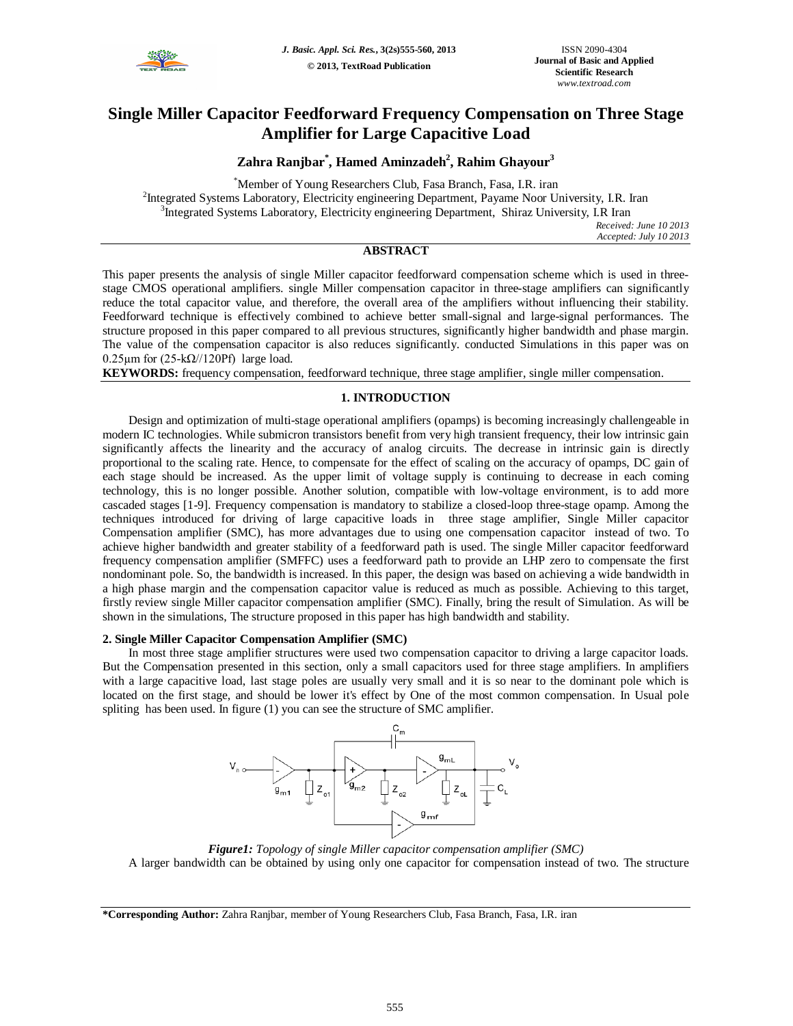

# **Single Miller Capacitor Feedforward Frequency Compensation on Three Stage Amplifier for Large Capacitive Load**

# **Zahra Ranjbar\* , Hamed Aminzadeh<sup>2</sup> , Rahim Ghayour<sup>3</sup>**

\*Member of Young Researchers Club, Fasa Branch, Fasa, I.R. iran <sup>2</sup>Integrated Systems Laboratory, Electricity engineering Department, Payame Noor University, I.R. Iran <sup>3</sup>Integrated Systems Laboratory, Electricity engineering Department, Shiraz University, I.R Iran

*Received: June 10 2013 Accepted: July 10 2013*

# **ABSTRACT**

This paper presents the analysis of single Miller capacitor feedforward compensation scheme which is used in threestage CMOS operational amplifiers. single Miller compensation capacitor in three-stage amplifiers can significantly reduce the total capacitor value, and therefore, the overall area of the amplifiers without influencing their stability. Feedforward technique is effectively combined to achieve better small-signal and large-signal performances. The structure proposed in this paper compared to all previous structures, significantly higher bandwidth and phase margin. The value of the compensation capacitor is also reduces significantly. conducted Simulations in this paper was on 0.25 $\mu$ m for (25-k $\Omega$ //120Pf) large load.

**KEYWORDS:** frequency compensation, feedforward technique, three stage amplifier, single miller compensation.

## **1. INTRODUCTION**

Design and optimization of multi-stage operational amplifiers (opamps) is becoming increasingly challengeable in modern IC technologies. While submicron transistors benefit from very high transient frequency, their low intrinsic gain significantly affects the linearity and the accuracy of analog circuits. The decrease in intrinsic gain is directly proportional to the scaling rate. Hence, to compensate for the effect of scaling on the accuracy of opamps, DC gain of each stage should be increased. As the upper limit of voltage supply is continuing to decrease in each coming technology, this is no longer possible. Another solution, compatible with low-voltage environment, is to add more cascaded stages [1-9]. Frequency compensation is mandatory to stabilize a closed-loop three-stage opamp. Among the techniques introduced for driving of large capacitive loads in three stage amplifier, Single Miller capacitor Compensation amplifier (SMC), has more advantages due to using one compensation capacitor instead of two. To achieve higher bandwidth and greater stability of a feedforward path is used. The single Miller capacitor feedforward frequency compensation amplifier (SMFFC) uses a feedforward path to provide an LHP zero to compensate the first nondominant pole. So, the bandwidth is increased. In this paper, the design was based on achieving a wide bandwidth in a high phase margin and the compensation capacitor value is reduced as much as possible. Achieving to this target, firstly review single Miller capacitor compensation amplifier (SMC). Finally, bring the result of Simulation. As will be shown in the simulations, The structure proposed in this paper has high bandwidth and stability.

#### **2. Single Miller Capacitor Compensation Amplifier (SMC)**

In most three stage amplifier structures were used two compensation capacitor to driving a large capacitor loads. But the Compensation presented in this section, only a small capacitors used for three stage amplifiers. In amplifiers with a large capacitive load, last stage poles are usually very small and it is so near to the dominant pole which is located on the first stage, and should be lower it's effect by One of the most common compensation. In Usual pole spliting has been used. In figure (1) you can see the structure of SMC amplifier.



*Figure1: Topology of single Miller capacitor compensation amplifier (SMC)* A larger bandwidth can be obtained by using only one capacitor for compensation instead of two. The structure

**<sup>\*</sup>Corresponding Author:** Zahra Ranjbar, member of Young Researchers Club, Fasa Branch, Fasa, I.R. iran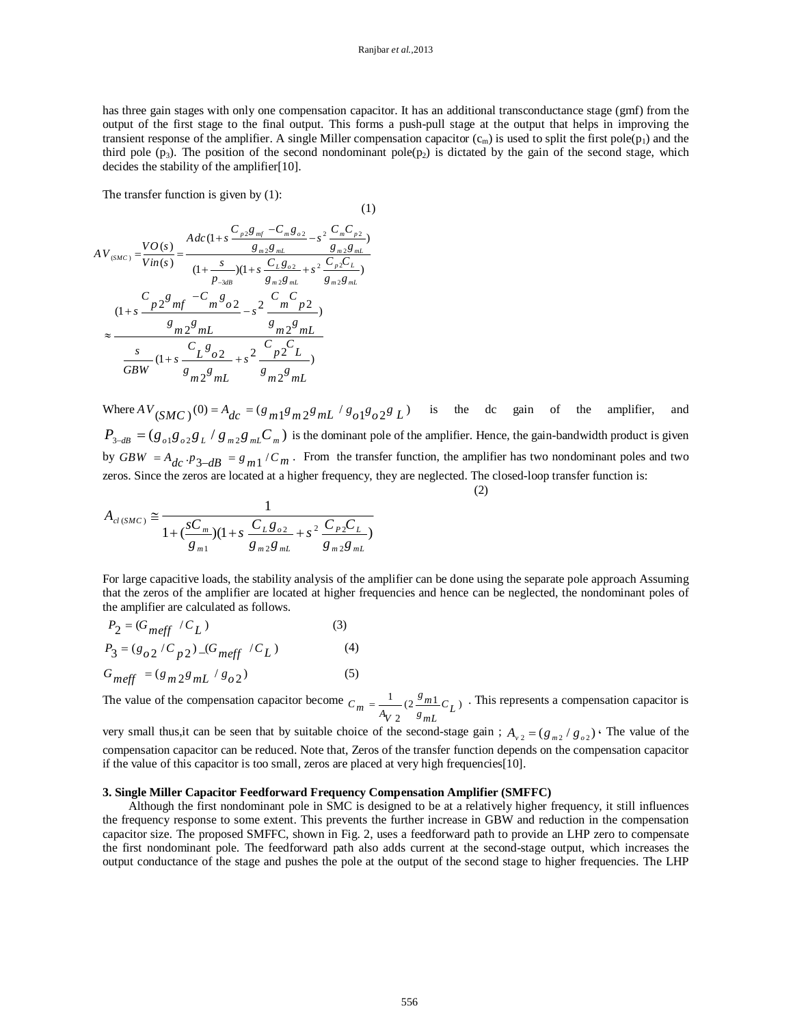has three gain stages with only one compensation capacitor. It has an additional transconductance stage (gmf) from the output of the first stage to the final output. This forms a push-pull stage at the output that helps in improving the transient response of the amplifier. A single Miller compensation capacitor  $(c_m)$  is used to split the first pole $(p_1)$  and the third pole  $(p_3)$ . The position of the second nondominant pole $(p_2)$  is dictated by the gain of the second stage, which decides the stability of the amplifier[10].

(1)

The transfer function is given by (1):

$$
AV_{(SMC)} = \frac{VO(s)}{Vin(s)} = \frac{Adc(1+s\frac{C_{p2}g_{mf} - C_m g_{o2}}{g_{m2}g_{mL}} - s^2 \frac{C_m C_{p2}}{g_{m2}g_{mL}})}{(1 + s\frac{C_{L}g_{o2}}{P_{-3dB}})(1 + s\frac{C_{L}g_{o2}}{g_{m2}g_{mL}} + s^2 \frac{C_{p2}C_L}{g_{m2}g_{mL}})}
$$
  

$$
\approx \frac{C_{p2}g_{mf} - C_m g_{o2}}{g_{m2}g_{mL}} - s^2 \frac{C_m C_p}{g_{m2}g_{mL}}
$$
  

$$
\approx \frac{s_{m2}g_{mL}}{(1 + s\frac{C_{L}g_{o2}}{g_{m2}g_{mL}} + s^2 \frac{C_{p2}C_L}{g_{p2}C_L})}
$$
  

$$
\frac{s}{GBW}(1 + s\frac{C_{L}g_{o2}}{g_{m2}g_{mL}} + s^2 \frac{C_{p2}C_L}{g_{m2}g_{mL}})
$$

Where  $AV_{(SMC)}(0) = A_{dc} = (g_{m1}g_{m2}g_{m1} / g_{o1}g_{o2}g_{L})$  is the dc gain of the amplifier, and  $P_{3-dB} = (g_{o1}g_{o2}g_L/g_{m2}g_{m}C_m)$  is the dominant pole of the amplifier. Hence, the gain-bandwidth product is given by  $GBW = A_{dc} \cdot p_{3-dB} = g_{m1} / C_m$ . From the transfer function, the amplifier has two nondominant poles and two zeros. Since the zeros are located at a higher frequency, they are neglected. The closed-loop transfer function is:

(2)

$$
A_{cl(SMC)} \cong \frac{1}{1 + (\frac{sC_m}{g_{m1}})(1 + s \frac{C_L g_{o2}}{g_{m2}g_{mL}} + s^2 \frac{C_P C_L}{g_{m2}g_{mL}})}
$$

For large capacitive loads, the stability analysis of the amplifier can be done using the separate pole approach Assuming that the zeros of the amplifier are located at higher frequencies and hence can be neglected, the nondominant poles of the amplifier are calculated as follows.

$$
P_2 = (G_{meff} / C_L)
$$
\n(3)  
\n
$$
P_3 = (g_{o2} / C_{p2}) (G_{meff} / C_L)
$$
\n(4)  
\n
$$
G_{meff} = (g_{m2}g_{mL} / g_{o2})
$$
\n(5)

The value of the compensation capacitor become  $C_m = \frac{1}{2} (2 \frac{g_{m1}}{g} C_I)$  $C_m = \frac{1}{A_V 2} (2 \frac{g_{m1}}{g_{mL}} C_L)$ . This represents a compensation capacitor is

very small thus, it can be seen that by suitable choice of the second-stage gain;  $A_{v2} = (g_{m2}/g_{02})$ . The value of the compensation capacitor can be reduced. Note that, Zeros of the transfer function depends on the compensation capacitor if the value of this capacitor is too small, zeros are placed at very high frequencies[10].

#### **3. Single Miller Capacitor Feedforward Frequency Compensation Amplifier (SMFFC)**

Although the first nondominant pole in SMC is designed to be at a relatively higher frequency, it still influences the frequency response to some extent. This prevents the further increase in GBW and reduction in the compensation capacitor size. The proposed SMFFC, shown in Fig. 2, uses a feedforward path to provide an LHP zero to compensate the first nondominant pole. The feedforward path also adds current at the second-stage output, which increases the output conductance of the stage and pushes the pole at the output of the second stage to higher frequencies. The LHP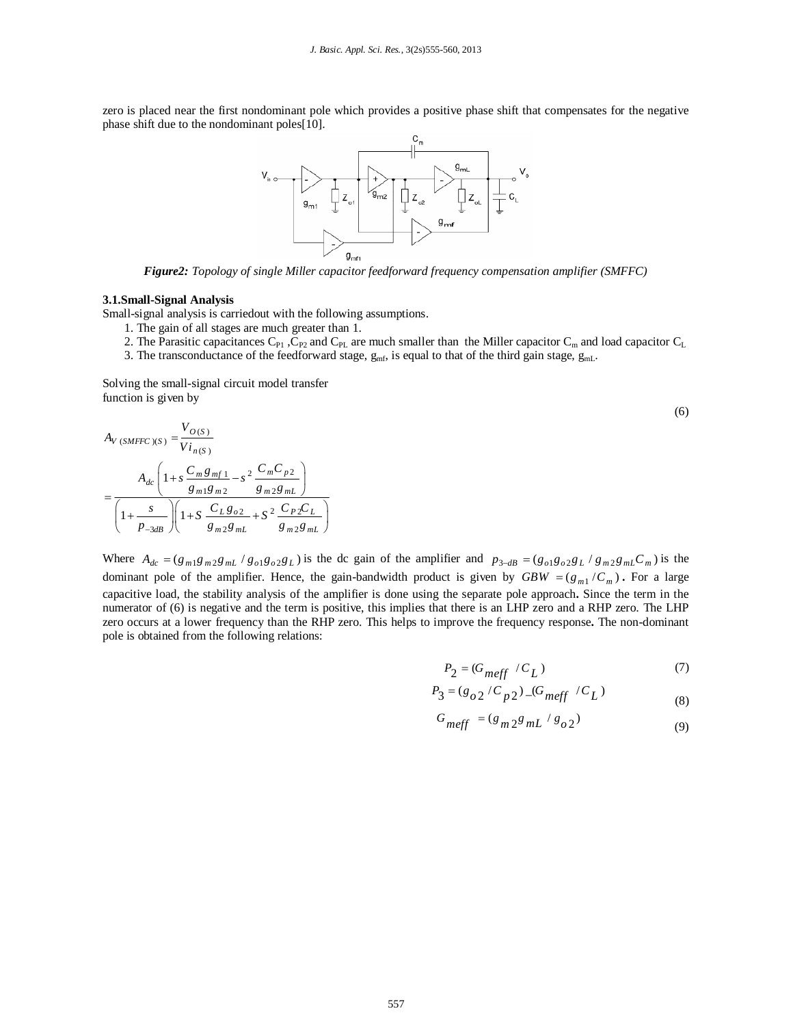zero is placed near the first nondominant pole which provides a positive phase shift that compensates for the negative phase shift due to the nondominant poles[10].



*Figure2: Topology of single Miller capacitor feedforward frequency compensation amplifier (SMFFC)*

#### **3.1.Small-Signal Analysis**

Small-signal analysis is carriedout with the following assumptions.

- 1. The gain of all stages are much greater than 1.
- 2. The Parasitic capacitances  $C_{P1}$ ,  $C_{P2}$  and  $C_{PL}$  are much smaller than the Miller capacitor  $C_m$  and load capacitor  $C_L$
- 3. The transconductance of the feedforward stage,  $g_{mf}$ , is equal to that of the third gain stage,  $g_{mL}$ .

Solving the small-signal circuit model transfer function is given by

$$
A_{V (SMFFC)(S)} = \frac{V_{O(S)}}{V_{i_{n(S)}}}
$$
  
= 
$$
\frac{A_{dc} \left(1+s \frac{C_m g_{mf1}}{g_{m1}g_{m2}} - s^2 \frac{C_m C_{p2}}{g_{m2}g_{mL}}\right)}{\left(1+\frac{s}{p_{-3dB}}\right)\left(1+s \frac{C_L g_{O2}}{g_{m2}g_{mL}} + S^2 \frac{C_P {}_{2}C_L}{g_{m2}g_{mL}}\right)}
$$

Where  $A_{dc} = (g_{m1}g_{m2}g_{m1}/g_{o1}g_{o2}g_L)$  is the dc gain of the amplifier and  $p_{3-dB} = (g_{o1}g_{o2}g_L/g_{m2}g_{m1}C_m)$  is the dominant pole of the amplifier. Hence, the gain-bandwidth product is given by  $GBW = (g_{m1}/C_m)$ . For a large capacitive load, the stability analysis of the amplifier is done using the separate pole approach**.** Since the term in the numerator of (6) is negative and the term is positive, this implies that there is an LHP zero and a RHP zero. The LHP zero occurs at a lower frequency than the RHP zero. This helps to improve the frequency response**.** The non-dominant pole is obtained from the following relations:

$$
P_2 = (G_{meff} / C_L) \tag{7}
$$

(6)

$$
P_3 = (g_{o2} / C_{p2}) \_ (G_{meff} / C_L)
$$
 (8)

$$
G_{meff} = (g_{m2}g_{mL} / g_{o2})
$$
\n(9)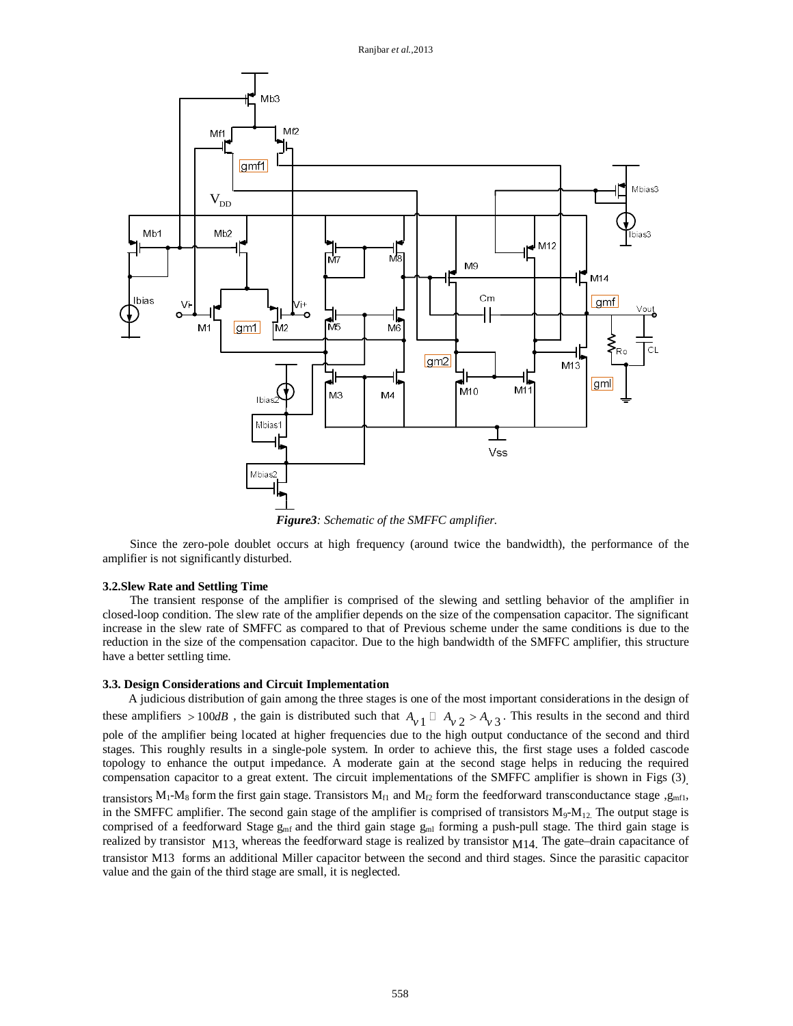

*Figure3: Schematic of the SMFFC amplifier.*

Since the zero-pole doublet occurs at high frequency (around twice the bandwidth), the performance of the amplifier is not significantly disturbed.

#### **3.2.Slew Rate and Settling Time**

The transient response of the amplifier is comprised of the slewing and settling behavior of the amplifier in closed-loop condition. The slew rate of the amplifier depends on the size of the compensation capacitor. The significant increase in the slew rate of SMFFC as compared to that of Previous scheme under the same conditions is due to the reduction in the size of the compensation capacitor. Due to the high bandwidth of the SMFFC amplifier, this structure have a better settling time.

### **3.3. Design Considerations and Circuit Implementation**

A judicious distribution of gain among the three stages is one of the most important considerations in the design of these amplifiers  $> 100$ *dB*, the gain is distributed such that  $A_{v1} \Box A_{v2} > A_{v3}$ . This results in the second and third pole of the amplifier being located at higher frequencies due to the high output conductance of the second and third stages. This roughly results in a single-pole system. In order to achieve this, the first stage uses a folded cascode topology to enhance the output impedance. A moderate gain at the second stage helps in reducing the required compensation capacitor to a great extent. The circuit implementations of the SMFFC amplifier is shown in Figs (3) . transistors  $M_1-M_8$  form the first gain stage. Transistors  $M_{f1}$  and  $M_{f2}$  form the feedforward transconductance stage ,g<sub>mf1</sub>, in the SMFFC amplifier. The second gain stage of the amplifier is comprised of transistors  $M_9-M_{12}$ . The output stage is comprised of a feedforward Stage  $g_{mf}$  and the third gain stage  $g_{ml}$  forming a push-pull stage. The third gain stage is realized by transistor  $M13$ , whereas the feedforward stage is realized by transistor  $M14$ . The gate-drain capacitance of transistor M13 forms an additional Miller capacitor between the second and third stages. Since the parasitic capacitor value and the gain of the third stage are small, it is neglected.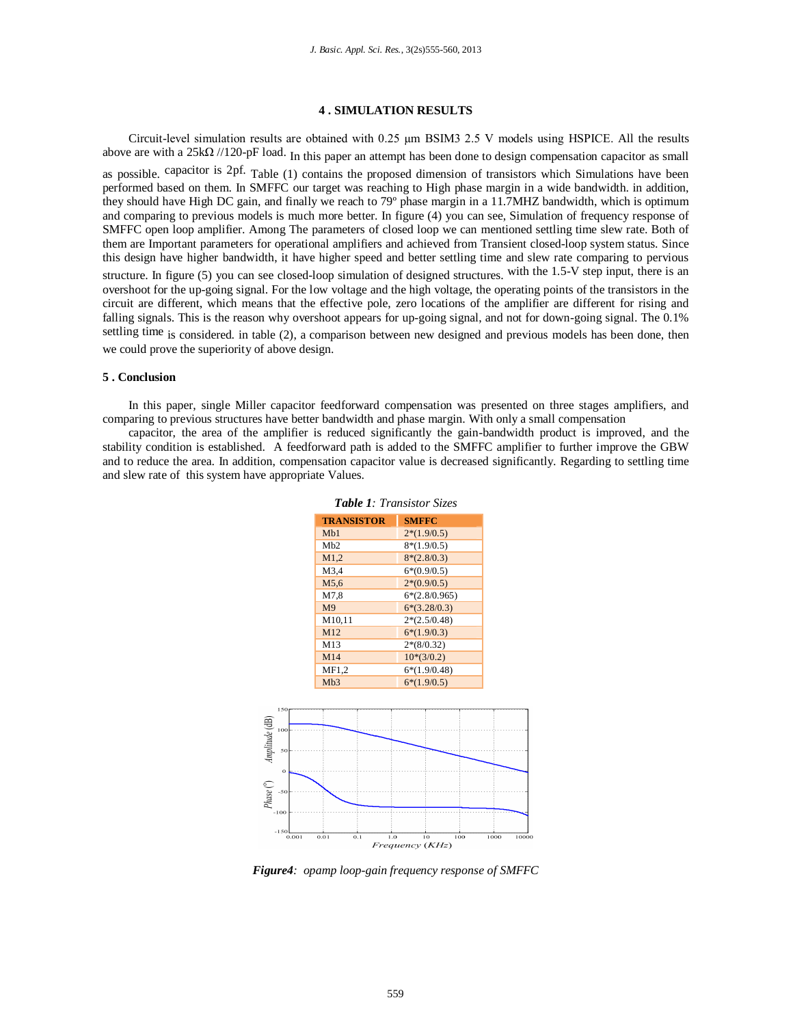### **4 . SIMULATION RESULTS**

Circuit-level simulation results are obtained with 0.25 µm BSIM3 2.5 V models using HSPICE. All the results above are with a 25k $\Omega$  //120-pF load. In this paper an attempt has been done to design compensation capacitor as small as possible. capacitor is 2pf. Table (1) contains the proposed dimension of transistors which Simulations have been performed based on them. In SMFFC our target was reaching to High phase margin in a wide bandwidth. in addition, they should have High DC gain, and finally we reach to 79º phase margin in a 11.7MHZ bandwidth, which is optimum and comparing to previous models is much more better. In figure (4) you can see, Simulation of frequency response of SMFFC open loop amplifier. Among The parameters of closed loop we can mentioned settling time slew rate. Both of them are Important parameters for operational amplifiers and achieved from Transient closed-loop system status. Since this design have higher bandwidth, it have higher speed and better settling time and slew rate comparing to pervious structure. In figure (5) you can see closed-loop simulation of designed structures. with the 1.5-V step input, there is an overshoot for the up-going signal. For the low voltage and the high voltage, the operating points of the transistors in the circuit are different, which means that the effective pole, zero locations of the amplifier are different for rising and falling signals. This is the reason why overshoot appears for up-going signal, and not for down-going signal. The 0.1% settling time is considered. in table (2), a comparison between new designed and previous models has been done, then we could prove the superiority of above design.

#### **5 . Conclusion**

In this paper, single Miller capacitor feedforward compensation was presented on three stages amplifiers, and comparing to previous structures have better bandwidth and phase margin. With only a small compensation

capacitor, the area of the amplifier is reduced significantly the gain-bandwidth product is improved, and the stability condition is established. A feedforward path is added to the SMFFC amplifier to further improve the GBW and to reduce the area. In addition, compensation capacitor value is decreased significantly. Regarding to settling time and slew rate of this system have appropriate Values.

|                               | <b>TRANSISTOR</b> | <b>SMFFC</b>    |  |
|-------------------------------|-------------------|-----------------|--|
|                               | Mb1               | $2*(1.9/0.5)$   |  |
|                               | M <sub>b</sub> 2  | $8*(1.9/0.5)$   |  |
|                               | M1,2              | $8*(2.8/0.3)$   |  |
|                               | M3,4              | $6*(0.9/0.5)$   |  |
|                               | M5,6              | $2*(0.9/0.5)$   |  |
|                               | M7,8              | $6*(2.8/0.965)$ |  |
|                               | M <sub>9</sub>    | $6*(3.28/0.3)$  |  |
|                               | M10,11            | $2*(2.5/0.48)$  |  |
|                               | M12               | $6*(1.9/0.3)$   |  |
|                               | M13               | $2*(8/0.32)$    |  |
|                               | M14               | $10*(3/0.2)$    |  |
|                               | MF1,2             | $6*(1.9/0.48)$  |  |
|                               | Mb3               | $6*(1.9/0.5)$   |  |
|                               |                   |                 |  |
|                               |                   |                 |  |
| 50<br>$\bf{o}$                |                   |                 |  |
| 150<br>100<br>$-50$<br>$-100$ |                   |                 |  |



*Figure4: opamp loop-gain frequency response of SMFFC*